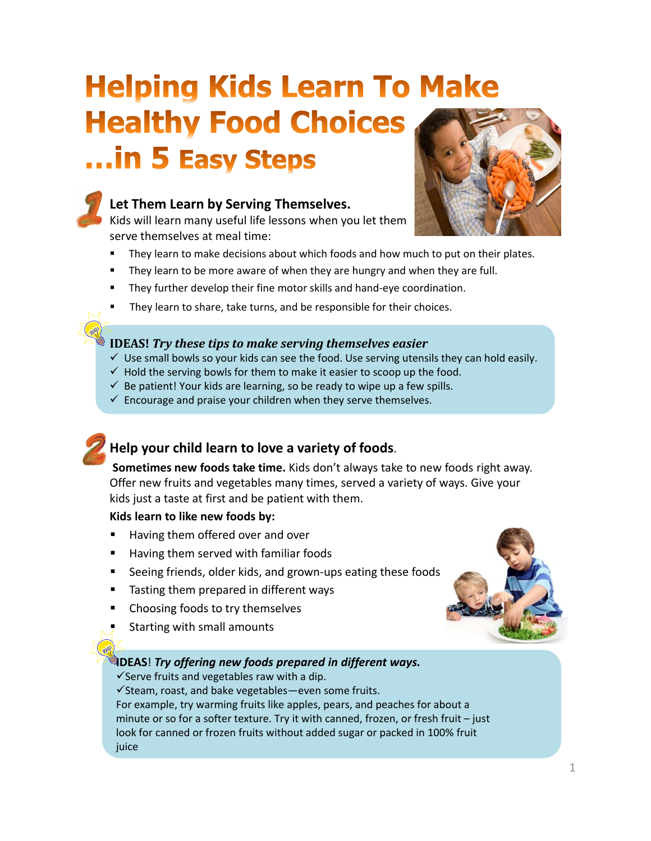# **Helping Kids Learn To Make Healthy Food Choices** ... in 5 Easy Steps



#### **1. Let Them Learn by Serving Themselves.**

Kids will learn many useful life lessons when you let them serve themselves at meal time:



- They learn to make decisions about which foods and how much to put on their plates.
- They learn to be more aware of when they are hungry and when they are full.
- They further develop their fine motor skills and hand‐eye coordination.
- They learn to share, take turns, and be responsible for their choices.

#### **IDEAS!** *Try these tips to make serving themselves easier*

- $\checkmark$  Use small bowls so your kids can see the food. Use serving utensils they can hold easily.
- $\checkmark$  Hold the serving bowls for them to make it easier to scoop up the food.
- $\checkmark$  Be patient! Your kids are learning, so be ready to wipe up a few spills.
- $\checkmark$  Encourage and praise your children when they serve themselves.

## **2. Help your child learn to love a variety of foods**.

**Sometimes new foods take time.** Kids don't always take to new foods right away. Offer new fruits and vegetables many times, served a variety of ways. Give your kids just a taste at first and be patient with them.

#### **Kids learn to like new foods by:**

- Having them offered over and over
- Having them served with familiar foods
- Seeing friends, older kids, and grown‐ups eating these foods
- Tasting them prepared in different ways
- Choosing foods to try themselves
- Starting with small amounts

#### **IDEAS**! *Try offering new foods prepared in different ways.*

 $\checkmark$  Serve fruits and vegetables raw with a dip.

 $\checkmark$ Steam, roast, and bake vegetables—even some fruits. For example, try warming fruits like apples, pears, and peaches for about a minute or so for a softer texture. Try it with canned, frozen, or fresh fruit – just look for canned or frozen fruits without added sugar or packed in 100% fruit juice